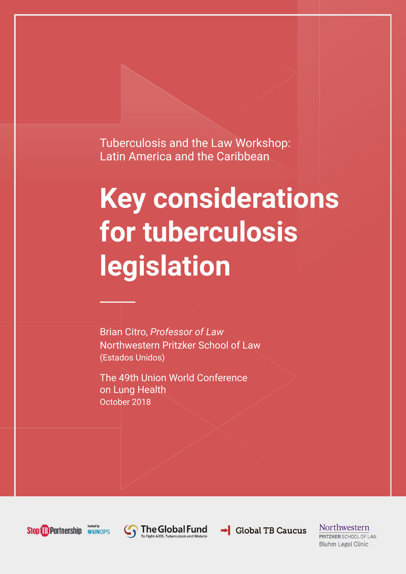Tuberculosis and the Law Workshop: Latin America and the Caribbean

# **Key considerations for tuberculosis legislation**

Brian Citro, *Professor of Law* Northwestern Pritzker School of Law (Estados Unidos)

The 49th Union World Conference on Lung Health October 2018







 $\rightarrow$  Global TB Caucus

Northwestern PRITZKER SCHOOL OF LAW **Bluhm Legal Clinic**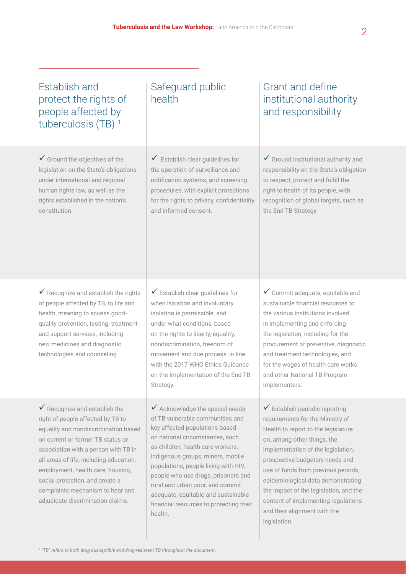## Establish and protect the rights of people affected by tuberculosis  $(TB)$ <sup>1</sup>

 $\checkmark$  Ground the objectives of the legislation on the State's obligations under international and regional human rights law, as well as the rights established in the nation's constitution.

#### Safeguard public health

 $\checkmark$  Establish clear guidelines for the operation of surveillance and notification systems, and screening procedures, with explicit protections for the rights to privacy, confidentiality and informed consent.

### Grant and define institutional authority and responsibility

 $\checkmark$  Ground institutional authority and responsibility on the State's obligation to respect, protect and fulfill the right to health of its people, with recognition of global targets, such as the End TB Strategy.

 $\checkmark$  Recognize and establish the rights of people affected by TB, to life and health, meaning to access goodquality prevention, testing, treatment and support services, including new medicines and diagnostic technologies and counseling.

 $\checkmark$  Establish clear guidelines for when isolation and involuntary isolation is permissible, and under what conditions, based on the rights to liberty, equality, nondiscrimination, freedom of movement and due process, in line with the 2017 WHO Ethics Guidance on the Implementation of the End TB Strategy.

 $\checkmark$  Recognize and establish the right of people affected by TB to equality and nondiscrimination based on current or former TB status or association with a person with TB in all areas of life, including education, employment, health care, housing, social protection, and create a complaints mechanism to hear and adjudicate discrimination claims.

 $\checkmark$  Acknowledge the special needs of TB vulnerable communities and key affected populations based on national circumstances, such as children, health care workers, indigenous groups, miners, mobile populations, people living with HIV, people who use drugs, prisoners and rural and urban poor, and commit adequate, equitable and sustainable financial resources to protecting their health.

 $\checkmark$  Commit adequate, equitable and sustainable financial resources to the various institutions involved in implementing and enforcing the legislation, including for the procurement of preventive, diagnostic and treatment technologies, and for the wages of health care works and other National TB Program implementers.

 $\checkmark$  Establish periodic reporting requirements for the Ministry of Health to report to the legislature on, among other things, the implementation of the legislation, prospective budgetary needs and use of funds from previous periods, epidemiological data demonstrating the impact of the legislation, and the content of implementing regulations and their alignment with the legislation.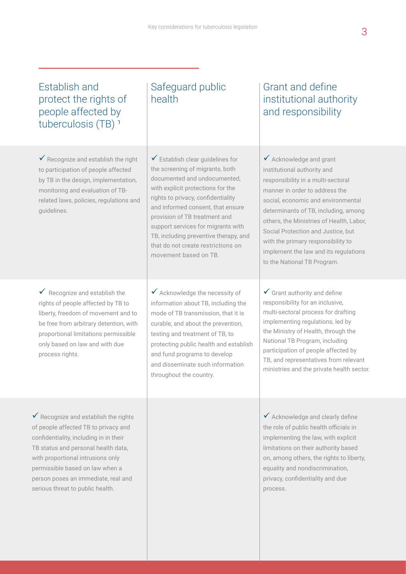## Establish and protect the rights of people affected by tuberculosis (TB)<sup>1</sup>

 $\checkmark$  Recognize and establish the right to participation of people affected by TB in the design, implementation, monitoring and evaluation of TBrelated laws, policies, regulations and guidelines.

 $\checkmark$  Recognize and establish the rights of people affected by TB to liberty, freedom of movement and to be free from arbitrary detention, with proportional limitations permissible only based on law and with due process rights.

Safeguard public health

 $\checkmark$  Establish clear guidelines for the screening of migrants, both documented and undocumented, with explicit protections for the rights to privacy, confidentiality and informed consent, that ensure provision of TB treatment and support services for migrants with TB, including preventive therapy, and that do not create restrictions on movement based on TB.

 $\checkmark$  Acknowledge the necessity of information about TB, including the mode of TB transmission, that it is curable, and about the prevention, testing and treatment of TB, to protecting public health and establish and fund programs to develop and disseminate such information throughout the country.

Grant and define institutional authority and responsibility

 $\checkmark$  Acknowledge and grant institutional authority and responsibility in a multi-sectoral manner in order to address the social, economic and environmental determinants of TB, including, among others, the Ministries of Health, Labor, Social Protection and Justice, but with the primary responsibility to implement the law and its regulations to the National TB Program.

 $\checkmark$  Grant authority and define responsibility for an inclusive, multi-sectoral process for drafting implementing regulations, led by the Ministry of Health, through the National TB Program, including participation of people affected by TB, and representatives from relevant ministries and the private health sector.

 $\checkmark$  Recognize and establish the rights of people affected TB to privacy and confidentiality, including in in their TB status and personal health data, with proportional intrusions only permissible based on law when a person poses an immediate, real and serious threat to public health.

 $\checkmark$  Acknowledge and clearly define the role of public health officials in implementing the law, with explicit limitations on their authority based on, among others, the rights to liberty, equality and nondiscrimination, privacy, confidentiality and due process.